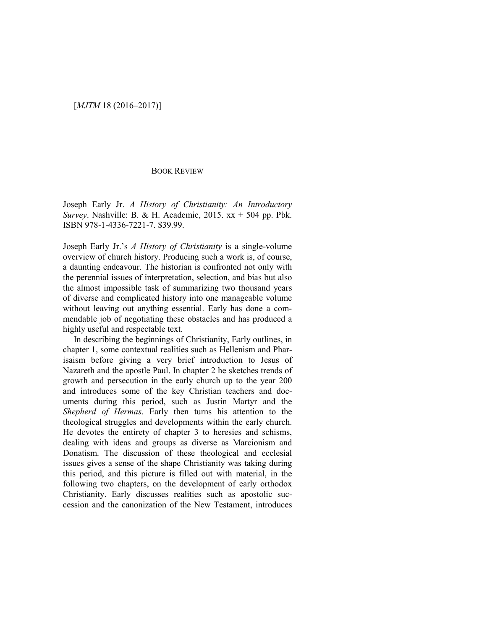### [*MJTM* 18 (2016–2017)]

#### BOOK REVIEW

Joseph Early Jr. *A History of Christianity: An Introductory Survey*. Nashville: B. & H. Academic, 2015. xx + 504 pp. Pbk. ISBN 978-1-4336-7221-7. \$39.99.

Joseph Early Jr.'s *A History of Christianity* is a single-volume overview of church history. Producing such a work is, of course, a daunting endeavour. The historian is confronted not only with the perennial issues of interpretation, selection, and bias but also the almost impossible task of summarizing two thousand years of diverse and complicated history into one manageable volume without leaving out anything essential. Early has done a commendable job of negotiating these obstacles and has produced a highly useful and respectable text.

In describing the beginnings of Christianity, Early outlines, in chapter 1, some contextual realities such as Hellenism and Pharisaism before giving a very brief introduction to Jesus of Nazareth and the apostle Paul. In chapter 2 he sketches trends of growth and persecution in the early church up to the year 200 and introduces some of the key Christian teachers and documents during this period, such as Justin Martyr and the *Shepherd of Hermas*. Early then turns his attention to the theological struggles and developments within the early church. He devotes the entirety of chapter 3 to heresies and schisms, dealing with ideas and groups as diverse as Marcionism and Donatism. The discussion of these theological and ecclesial issues gives a sense of the shape Christianity was taking during this period, and this picture is filled out with material, in the following two chapters, on the development of early orthodox Christianity. Early discusses realities such as apostolic succession and the canonization of the New Testament, introduces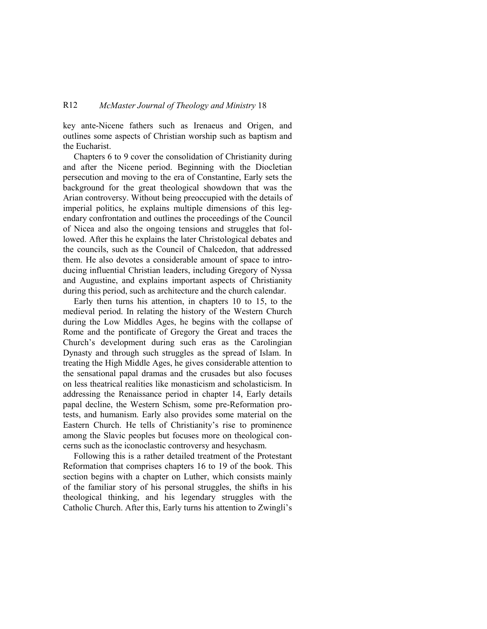### R12 *McMaster Journal of Theology and Ministry* 18

key ante-Nicene fathers such as Irenaeus and Origen, and outlines some aspects of Christian worship such as baptism and the Eucharist.

Chapters 6 to 9 cover the consolidation of Christianity during and after the Nicene period. Beginning with the Diocletian persecution and moving to the era of Constantine, Early sets the background for the great theological showdown that was the Arian controversy. Without being preoccupied with the details of imperial politics, he explains multiple dimensions of this legendary confrontation and outlines the proceedings of the Council of Nicea and also the ongoing tensions and struggles that followed. After this he explains the later Christological debates and the councils, such as the Council of Chalcedon, that addressed them. He also devotes a considerable amount of space to introducing influential Christian leaders, including Gregory of Nyssa and Augustine, and explains important aspects of Christianity during this period, such as architecture and the church calendar.

Early then turns his attention, in chapters 10 to 15, to the medieval period. In relating the history of the Western Church during the Low Middles Ages, he begins with the collapse of Rome and the pontificate of Gregory the Great and traces the Church's development during such eras as the Carolingian Dynasty and through such struggles as the spread of Islam. In treating the High Middle Ages, he gives considerable attention to the sensational papal dramas and the crusades but also focuses on less theatrical realities like monasticism and scholasticism. In addressing the Renaissance period in chapter 14, Early details papal decline, the Western Schism, some pre-Reformation protests, and humanism. Early also provides some material on the Eastern Church. He tells of Christianity's rise to prominence among the Slavic peoples but focuses more on theological concerns such as the iconoclastic controversy and hesychasm.

Following this is a rather detailed treatment of the Protestant Reformation that comprises chapters 16 to 19 of the book. This section begins with a chapter on Luther, which consists mainly of the familiar story of his personal struggles, the shifts in his theological thinking, and his legendary struggles with the Catholic Church. After this, Early turns his attention to Zwingli's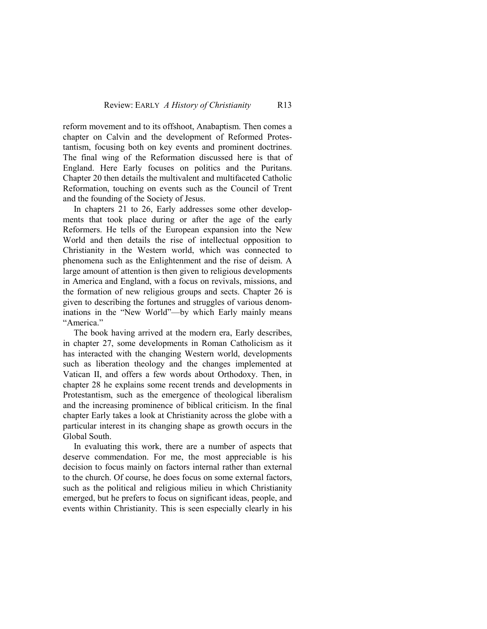reform movement and to its offshoot, Anabaptism. Then comes a chapter on Calvin and the development of Reformed Protestantism, focusing both on key events and prominent doctrines. The final wing of the Reformation discussed here is that of England. Here Early focuses on politics and the Puritans. Chapter 20 then details the multivalent and multifaceted Catholic Reformation, touching on events such as the Council of Trent and the founding of the Society of Jesus.

In chapters 21 to 26, Early addresses some other developments that took place during or after the age of the early Reformers. He tells of the European expansion into the New World and then details the rise of intellectual opposition to Christianity in the Western world, which was connected to phenomena such as the Enlightenment and the rise of deism. A large amount of attention is then given to religious developments in America and England, with a focus on revivals, missions, and the formation of new religious groups and sects. Chapter 26 is given to describing the fortunes and struggles of various denominations in the "New World"—by which Early mainly means "America."

The book having arrived at the modern era, Early describes, in chapter 27, some developments in Roman Catholicism as it has interacted with the changing Western world, developments such as liberation theology and the changes implemented at Vatican II, and offers a few words about Orthodoxy. Then, in chapter 28 he explains some recent trends and developments in Protestantism, such as the emergence of theological liberalism and the increasing prominence of biblical criticism. In the final chapter Early takes a look at Christianity across the globe with a particular interest in its changing shape as growth occurs in the Global South.

In evaluating this work, there are a number of aspects that deserve commendation. For me, the most appreciable is his decision to focus mainly on factors internal rather than external to the church. Of course, he does focus on some external factors, such as the political and religious milieu in which Christianity emerged, but he prefers to focus on significant ideas, people, and events within Christianity. This is seen especially clearly in his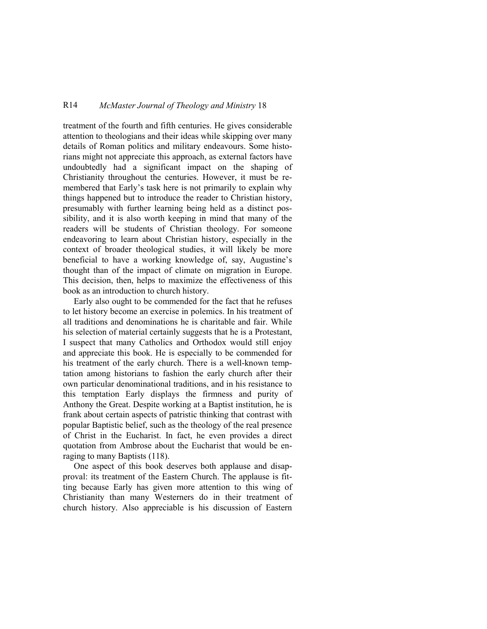## R14 *McMaster Journal of Theology and Ministry* 18

treatment of the fourth and fifth centuries. He gives considerable attention to theologians and their ideas while skipping over many details of Roman politics and military endeavours. Some historians might not appreciate this approach, as external factors have undoubtedly had a significant impact on the shaping of Christianity throughout the centuries. However, it must be remembered that Early's task here is not primarily to explain why things happened but to introduce the reader to Christian history, presumably with further learning being held as a distinct possibility, and it is also worth keeping in mind that many of the readers will be students of Christian theology. For someone endeavoring to learn about Christian history, especially in the context of broader theological studies, it will likely be more beneficial to have a working knowledge of, say, Augustine's thought than of the impact of climate on migration in Europe. This decision, then, helps to maximize the effectiveness of this book as an introduction to church history.

Early also ought to be commended for the fact that he refuses to let history become an exercise in polemics. In his treatment of all traditions and denominations he is charitable and fair. While his selection of material certainly suggests that he is a Protestant, I suspect that many Catholics and Orthodox would still enjoy and appreciate this book. He is especially to be commended for his treatment of the early church. There is a well-known temptation among historians to fashion the early church after their own particular denominational traditions, and in his resistance to this temptation Early displays the firmness and purity of Anthony the Great. Despite working at a Baptist institution, he is frank about certain aspects of patristic thinking that contrast with popular Baptistic belief, such as the theology of the real presence of Christ in the Eucharist. In fact, he even provides a direct quotation from Ambrose about the Eucharist that would be enraging to many Baptists (118).

One aspect of this book deserves both applause and disapproval: its treatment of the Eastern Church. The applause is fitting because Early has given more attention to this wing of Christianity than many Westerners do in their treatment of church history. Also appreciable is his discussion of Eastern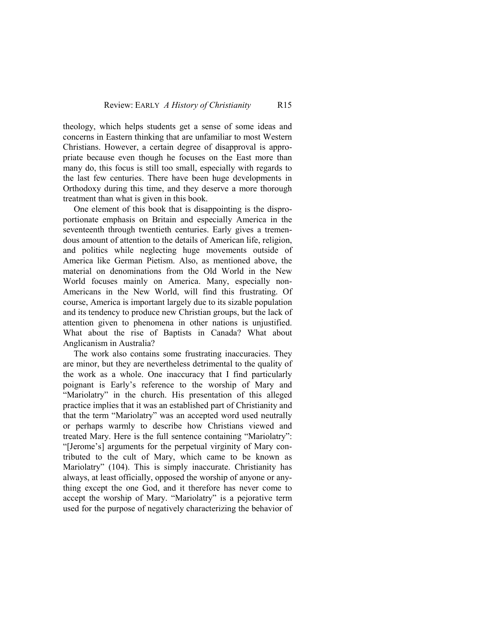theology, which helps students get a sense of some ideas and concerns in Eastern thinking that are unfamiliar to most Western Christians. However, a certain degree of disapproval is appropriate because even though he focuses on the East more than many do, this focus is still too small, especially with regards to the last few centuries. There have been huge developments in Orthodoxy during this time, and they deserve a more thorough treatment than what is given in this book.

One element of this book that is disappointing is the disproportionate emphasis on Britain and especially America in the seventeenth through twentieth centuries. Early gives a tremendous amount of attention to the details of American life, religion, and politics while neglecting huge movements outside of America like German Pietism. Also, as mentioned above, the material on denominations from the Old World in the New World focuses mainly on America. Many, especially non-Americans in the New World, will find this frustrating. Of course, America is important largely due to its sizable population and its tendency to produce new Christian groups, but the lack of attention given to phenomena in other nations is unjustified. What about the rise of Baptists in Canada? What about Anglicanism in Australia?

The work also contains some frustrating inaccuracies. They are minor, but they are nevertheless detrimental to the quality of the work as a whole. One inaccuracy that I find particularly poignant is Early's reference to the worship of Mary and "Mariolatry" in the church. His presentation of this alleged practice implies that it was an established part of Christianity and that the term "Mariolatry" was an accepted word used neutrally or perhaps warmly to describe how Christians viewed and treated Mary. Here is the full sentence containing "Mariolatry": "[Jerome's] arguments for the perpetual virginity of Mary contributed to the cult of Mary, which came to be known as Mariolatry" (104). This is simply inaccurate. Christianity has always, at least officially, opposed the worship of anyone or anything except the one God, and it therefore has never come to accept the worship of Mary. "Mariolatry" is a pejorative term used for the purpose of negatively characterizing the behavior of